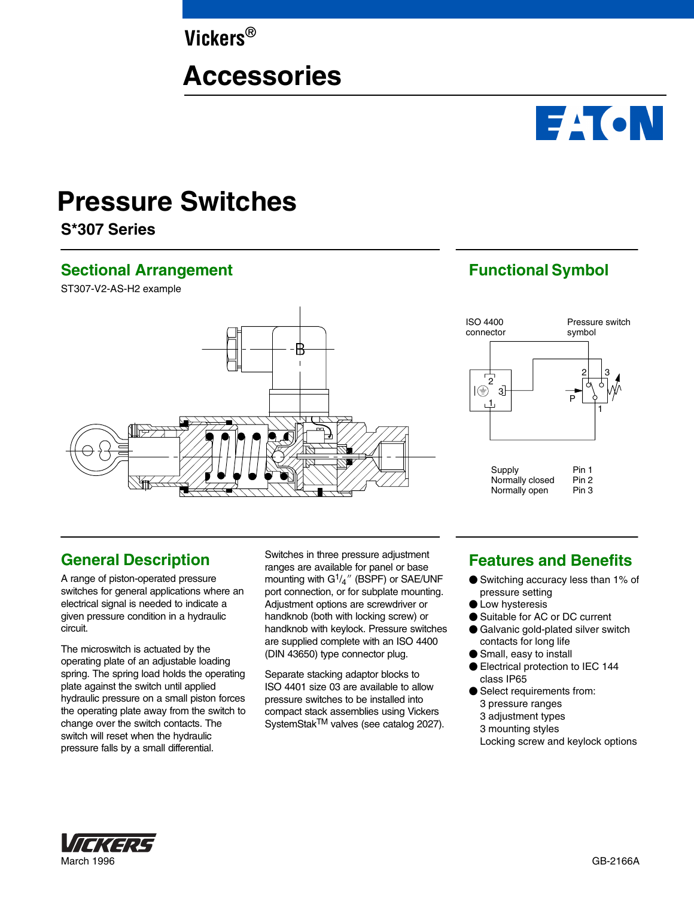**Vickers®**

# **Accessories**

# **Pressure Switches**

**S\*307 Series**

### **Sectional Arrangement**

ST307-V2-AS-H2 example



# **Functional Symbol**

**EACN** 



# **General Description**

A range of piston-operated pressure switches for general applications where an electrical signal is needed to indicate a given pressure condition in a hydraulic circuit.

The microswitch is actuated by the operating plate of an adjustable loading spring. The spring load holds the operating plate against the switch until applied hydraulic pressure on a small piston forces the operating plate away from the switch to change over the switch contacts. The switch will reset when the hydraulic pressure falls by a small differential.

Switches in three pressure adjustment ranges are available for panel or base mounting with  $G<sup>1</sup>/<sub>4</sub>$ " (BSPF) or SAE/UNF port connection, or for subplate mounting. Adjustment options are screwdriver or handknob (both with locking screw) or handknob with keylock. Pressure switches are supplied complete with an ISO 4400 (DIN 43650) type connector plug.

Separate stacking adaptor blocks to ISO 4401 size 03 are available to allow pressure switches to be installed into compact stack assemblies using Vickers SystemStakTM valves (see catalog 2027).

## **Features and Benefits**

- Switching accuracy less than 1% of pressure setting
- **C** Low hysteresis
- Suitable for AC or DC current
- Galvanic gold-plated silver switch contacts for long life
- Small, easy to install
- Electrical protection to IEC 144 class IP65
- Select requirements from: 3 pressure ranges 3 adjustment types 3 mounting styles Locking screw and keylock options

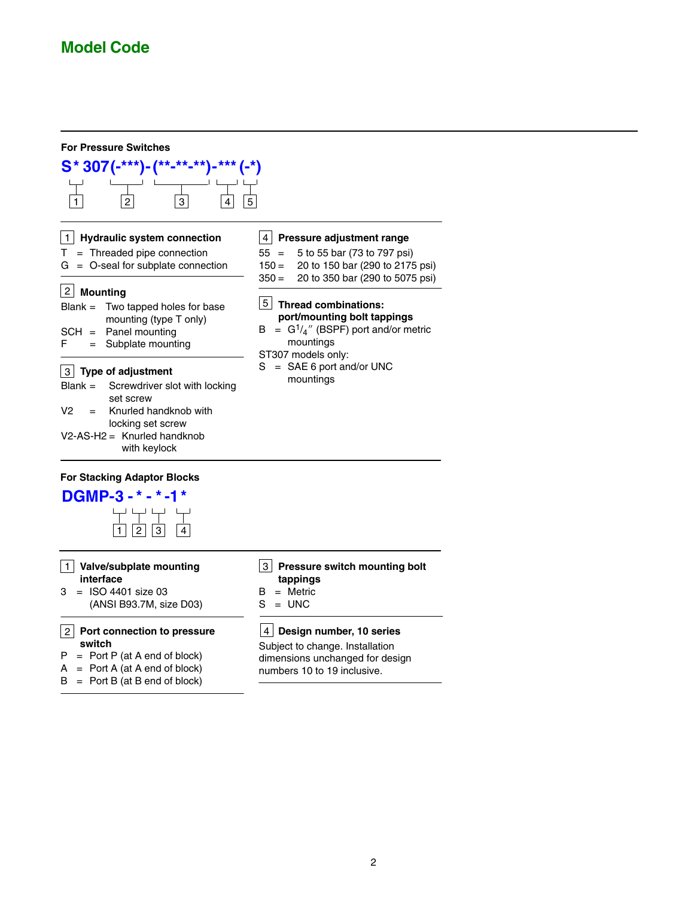

- **switch**  $P = Port P (at A end of block)$
- $A =$  Port A (at A end of block)
- $B =$  Port B (at B end of block)

#### **Design number, 10 series** 4

Subject to change. Installation dimensions unchanged for design numbers 10 to 19 inclusive.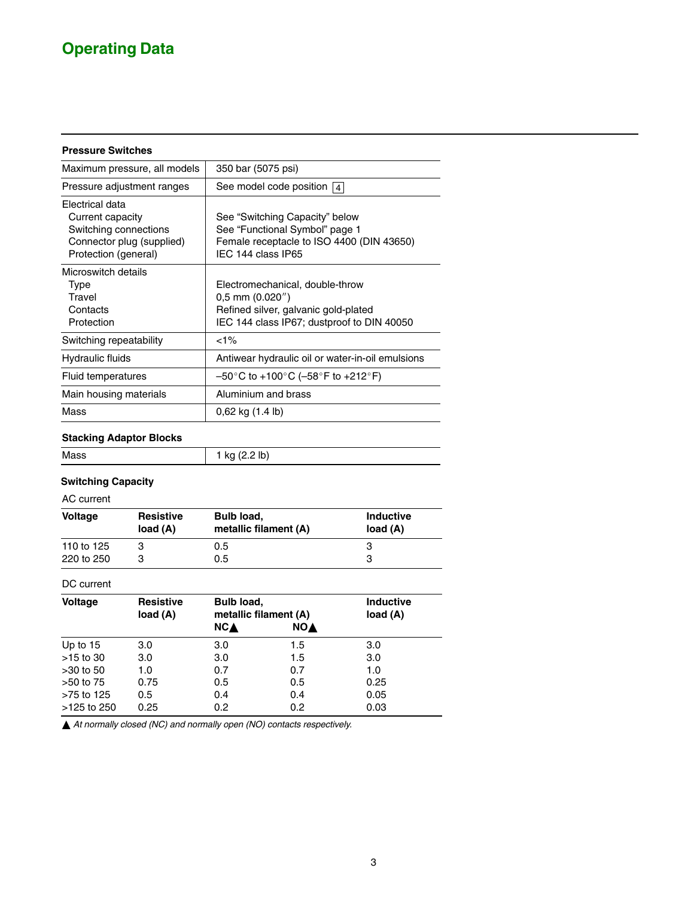# **Operating Data**

#### **Pressure Switches**

| Maximum pressure, all models                                                                                      | 350 bar (5075 psi)                                                                                                                            |
|-------------------------------------------------------------------------------------------------------------------|-----------------------------------------------------------------------------------------------------------------------------------------------|
| Pressure adjustment ranges                                                                                        | See model code position $ 4 $                                                                                                                 |
| Electrical data<br>Current capacity<br>Switching connections<br>Connector plug (supplied)<br>Protection (general) | See "Switching Capacity" below<br>See "Functional Symbol" page 1<br>Female receptacle to ISO 4400 (DIN 43650)<br>IEC 144 class IP65           |
| Microswitch details<br>Type<br>Travel<br>Contacts<br>Protection                                                   | Electromechanical, double-throw<br>$0.5$ mm $(0.020'')$<br>Refined silver, galvanic gold-plated<br>IEC 144 class IP67; dustproof to DIN 40050 |
| Switching repeatability                                                                                           | $1\%$                                                                                                                                         |
| Hydraulic fluids                                                                                                  | Antiwear hydraulic oil or water-in-oil emulsions                                                                                              |
| Fluid temperatures                                                                                                | $-50^{\circ}$ C to +100 $^{\circ}$ C (-58 $^{\circ}$ F to +212 $^{\circ}$ F)                                                                  |
| Main housing materials                                                                                            | Aluminium and brass                                                                                                                           |
| Mass                                                                                                              | $0,62$ kg $(1.4 \text{ lb})$                                                                                                                  |

#### **Stacking Adaptor Blocks**

| Mass | 1 kg (2.2 lb) |
|------|---------------|
|      |               |

#### **Switching Capacity**

AC current

| <b>Voltage</b> | <b>Resistive</b><br>load (A) | Bulb load,<br>metallic filament (A) | <b>Inductive</b><br>load (A) |  |
|----------------|------------------------------|-------------------------------------|------------------------------|--|
| 110 to 125     |                              | 0.5                                 |                              |  |
| 220 to 250     | з                            | 0.5                                 | З                            |  |

#### DC current

| Voltage     | <b>Resistive</b><br>load (A) | <b>Bulb load,</b><br>metallic filament (A) |            | <b>Inductive</b><br>load (A) |
|-------------|------------------------------|--------------------------------------------|------------|------------------------------|
|             |                              | <b>NCA</b>                                 | <b>NOA</b> |                              |
| Up to $15$  | 3.0                          | 3.0                                        | 1.5        | 3.0                          |
| $>15$ to 30 | 3.0                          | 3.0                                        | 1.5        | 3.0                          |
| $>30$ to 50 | 1.0                          | 0.7                                        | 0.7        | 1.0                          |
| $>50$ to 75 | 0.75                         | 0.5                                        | 0.5        | 0.25                         |
| >75 to 125  | 0.5                          | 0.4                                        | 0.4        | 0.05                         |
| >125 to 250 | 0.25                         | 0.2                                        | 0.2        | 0.03                         |

*At normally closed (NC) and normally open (NO) contacts respectively.*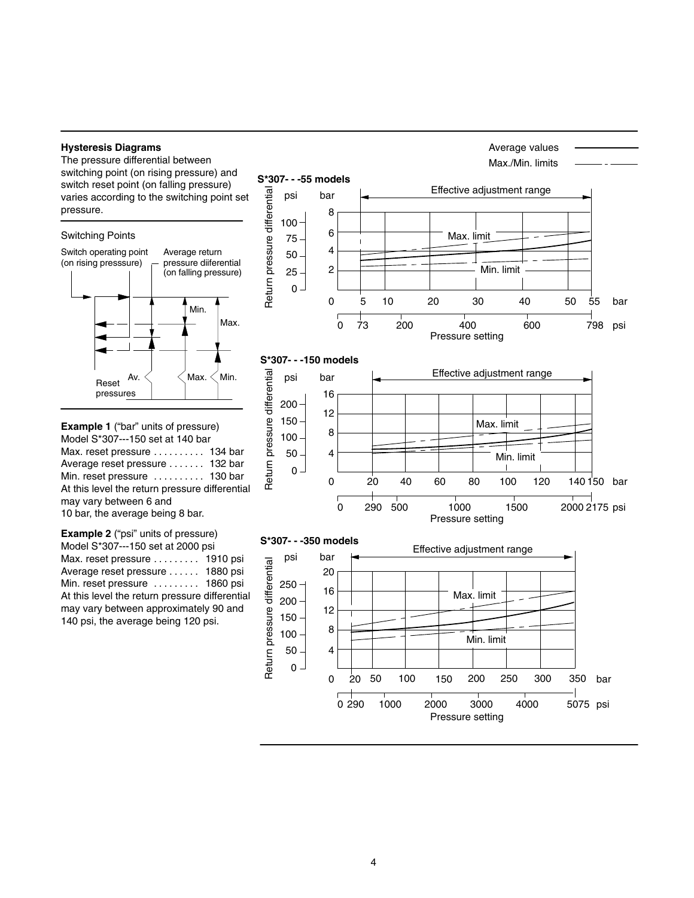#### **Hysteresis Diagrams**

The pressure differential between switching point (on rising pressure) and switch reset point (on falling pressure) varies according to the switching point set pressure.







**Example 2** ("psi" units of pressure) Model S\*307---150 set at 2000 psi Max. reset pressure  $\dots \dots$  . 1910 psi Average reset pressure . . . . . . 1880 psi Min. reset pressure ......... 1860 psi At this level the return pressure differential may vary between approximately 90 and 140 psi, the average being 120 psi.

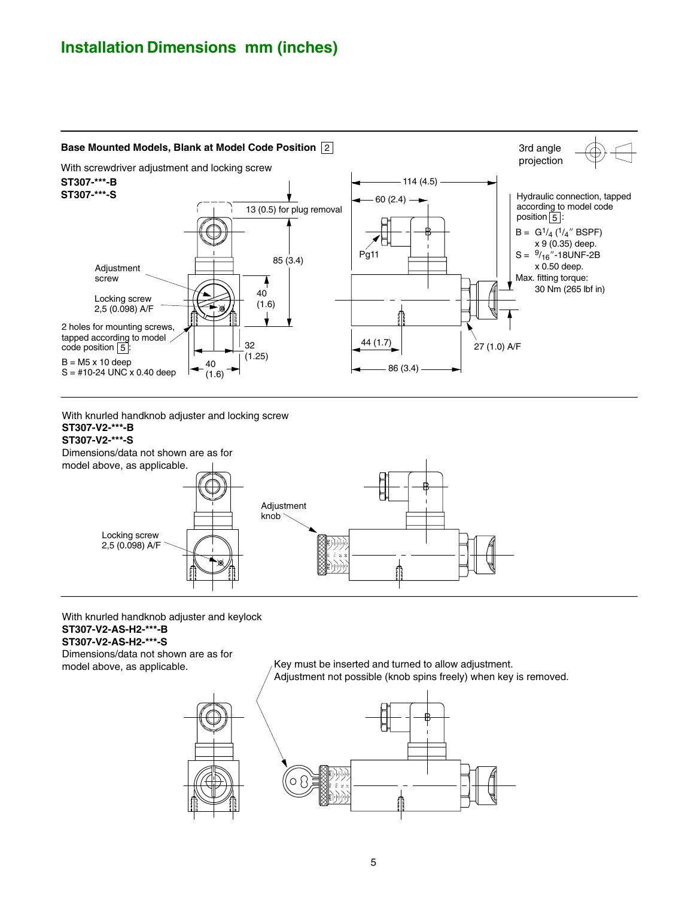# **Installation Dimensions mm (inches)**



With knurled handknob adjuster and locking screw

**ST307-V2-\*\*\*-B ST307-V2-\*\*\*-S**

Dimensions/data not shown are as for



With knurled handknob adjuster and keylock **ST307-V2-AS-H2-\*\*\*-B**

**ST307-V2-AS-H2-\*\*\*-S**

Dimensions/data not shown are as for model above, as applicable.

Key must be inserted and turned to allow adjustment. Adjustment not possible (knob spins freely) when key is removed.

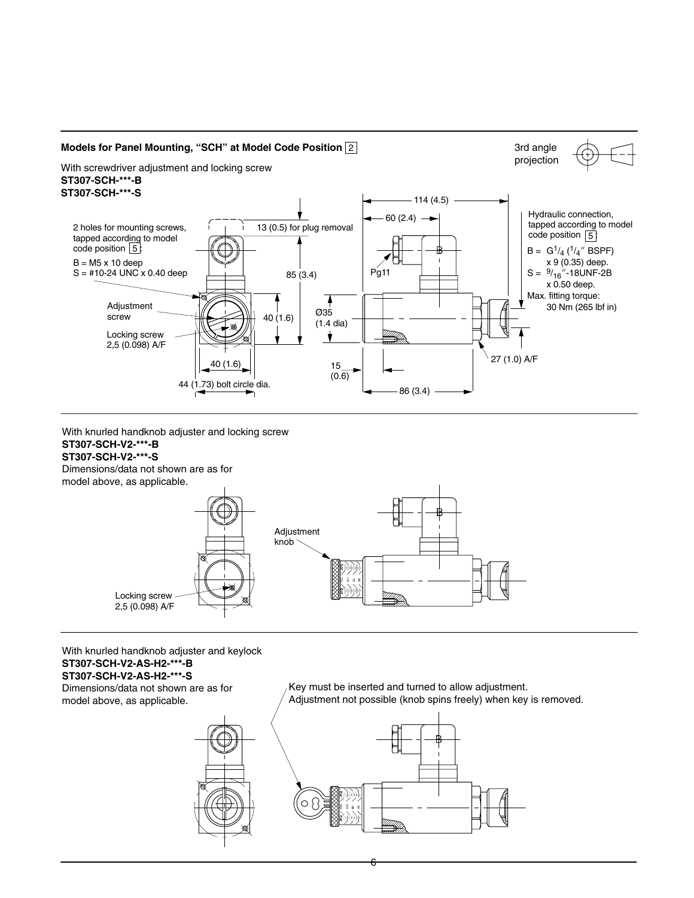

With knurled handknob adjuster and locking screw **ST307-SCH-V2-\*\*\*-B**

#### **ST307-SCH-V2-\*\*\*-S**

Dimensions/data not shown are as for model above, as applicable.



With knurled handknob adjuster and keylock **ST307-SCH-V2-AS-H2-\*\*\*-B**

#### **ST307-SCH-V2-AS-H2-\*\*\*-S**

Dimensions/data not shown are as for model above, as applicable.



Key must be inserted and turned to allow adjustment. Adjustment not possible (knob spins freely) when key is removed.



6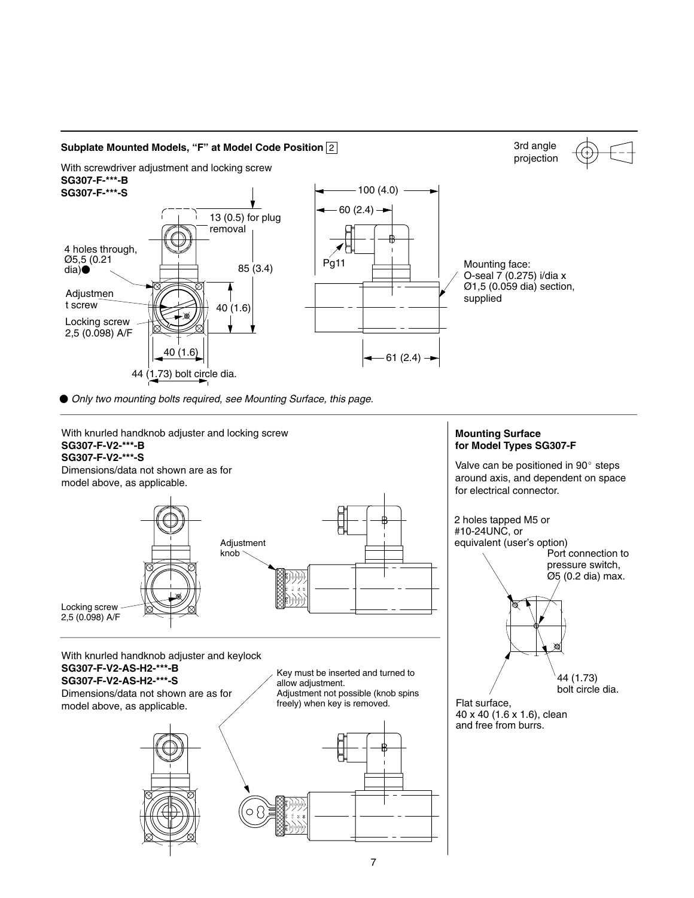

● Only two mounting bolts required, see Mounting Surface, this page.